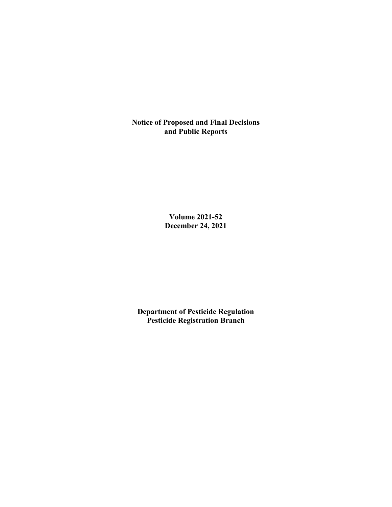**Notice of Proposed and Final Decisions and Public Reports**

> **Volume 2021-52 December 24, 2021**

**Department of Pesticide Regulation Pesticide Registration Branch**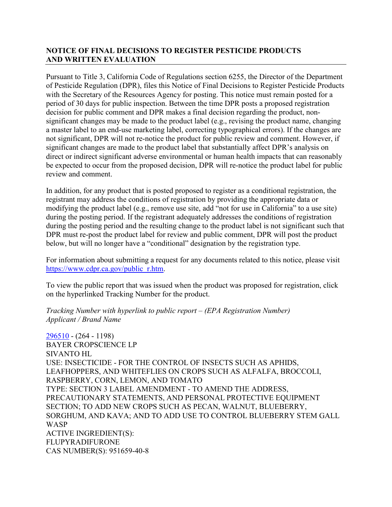## **NOTICE OF FINAL DECISIONS TO REGISTER PESTICIDE PRODUCTS AND WRITTEN EVALUATION**

Pursuant to Title 3, California Code of Regulations section 6255, the Director of the Department of Pesticide Regulation (DPR), files this Notice of Final Decisions to Register Pesticide Products with the Secretary of the Resources Agency for posting. This notice must remain posted for a period of 30 days for public inspection. Between the time DPR posts a proposed registration decision for public comment and DPR makes a final decision regarding the product, nonsignificant changes may be made to the product label (e.g., revising the product name, changing a master label to an end-use marketing label, correcting typographical errors). If the changes are not significant, DPR will not re-notice the product for public review and comment. However, if significant changes are made to the product label that substantially affect DPR's analysis on direct or indirect significant adverse environmental or human health impacts that can reasonably be expected to occur from the proposed decision, DPR will re-notice the product label for public review and comment.

In addition, for any product that is posted proposed to register as a conditional registration, the registrant may address the conditions of registration by providing the appropriate data or modifying the product label (e.g., remove use site, add "not for use in California" to a use site) during the posting period. If the registrant adequately addresses the conditions of registration during the posting period and the resulting change to the product label is not significant such that DPR must re-post the product label for review and public comment, DPR will post the product below, but will no longer have a "conditional" designation by the registration type.

For information about submitting a request for any documents related to this notice, please visit [https://www.cdpr.ca.gov/public\\_r.htm.](https://www.cdpr.ca.gov/public_r.htm)

To view the public report that was issued when the product was proposed for registration, click on the hyperlinked Tracking Number for the product.

*Tracking Number with hyperlink to public report – (EPA Registration Number) Applicant / Brand Name*

[296510](https://www.cdpr.ca.gov/docs/registration/nod/public_reports/296510.pdf) - (264 - 1198) BAYER CROPSCIENCE LP SIVANTO HL USE: INSECTICIDE - FOR THE CONTROL OF INSECTS SUCH AS APHIDS, LEAFHOPPERS, AND WHITEFLIES ON CROPS SUCH AS ALFALFA, BROCCOLI, RASPBERRY, CORN, LEMON, AND TOMATO TYPE: SECTION 3 LABEL AMENDMENT - TO AMEND THE ADDRESS, PRECAUTIONARY STATEMENTS, AND PERSONAL PROTECTIVE EQUIPMENT SECTION; TO ADD NEW CROPS SUCH AS PECAN, WALNUT, BLUEBERRY, SORGHUM, AND KAVA; AND TO ADD USE TO CONTROL BLUEBERRY STEM GALL WASP ACTIVE INGREDIENT(S): FLUPYRADIFURONE CAS NUMBER(S): 951659-40-8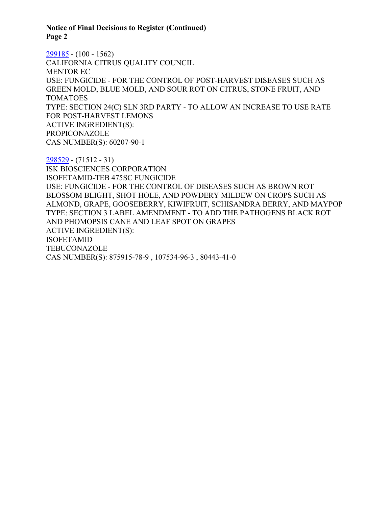#### **Notice of Final Decisions to Register (Continued) Page 2**

[299185](https://www.cdpr.ca.gov/docs/registration/nod/public_reports/299185.pdf) - (100 - 1562) CALIFORNIA CITRUS QUALITY COUNCIL MENTOR EC USE: FUNGICIDE - FOR THE CONTROL OF POST-HARVEST DISEASES SUCH AS GREEN MOLD, BLUE MOLD, AND SOUR ROT ON CITRUS, STONE FRUIT, AND TOMATOES TYPE: SECTION 24(C) SLN 3RD PARTY - TO ALLOW AN INCREASE TO USE RATE FOR POST-HARVEST LEMONS ACTIVE INGREDIENT(S): PROPICONAZOLE CAS NUMBER(S): 60207-90-1

[298529](https://www.cdpr.ca.gov/docs/registration/nod/public_reports/298529.pdf) - (71512 - 31) ISK BIOSCIENCES CORPORATION ISOFETAMID-TEB 475SC FUNGICIDE USE: FUNGICIDE - FOR THE CONTROL OF DISEASES SUCH AS BROWN ROT BLOSSOM BLIGHT, SHOT HOLE, AND POWDERY MILDEW ON CROPS SUCH AS ALMOND, GRAPE, GOOSEBERRY, KIWIFRUIT, SCHISANDRA BERRY, AND MAYPOP TYPE: SECTION 3 LABEL AMENDMENT - TO ADD THE PATHOGENS BLACK ROT AND PHOMOPSIS CANE AND LEAF SPOT ON GRAPES ACTIVE INGREDIENT(S): ISOFETAMID TEBUCONAZOLE CAS NUMBER(S): 875915-78-9 , 107534-96-3 , 80443-41-0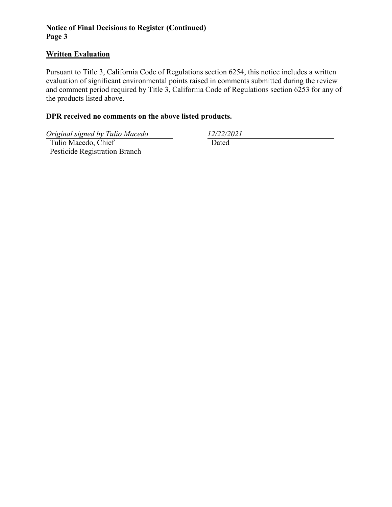## **Notice of Final Decisions to Register (Continued) Page 3**

### **Written Evaluation**

Pursuant to Title 3, California Code of Regulations section 6254, this notice includes a written evaluation of significant environmental points raised in comments submitted during the review and comment period required by Title 3, California Code of Regulations section 6253 for any of the products listed above.

## **DPR received no comments on the above listed products.**

*Original signed by Tulio Macedo 12/22/2021*

 Tulio Macedo, Chief Pesticide Registration Branch

Dated